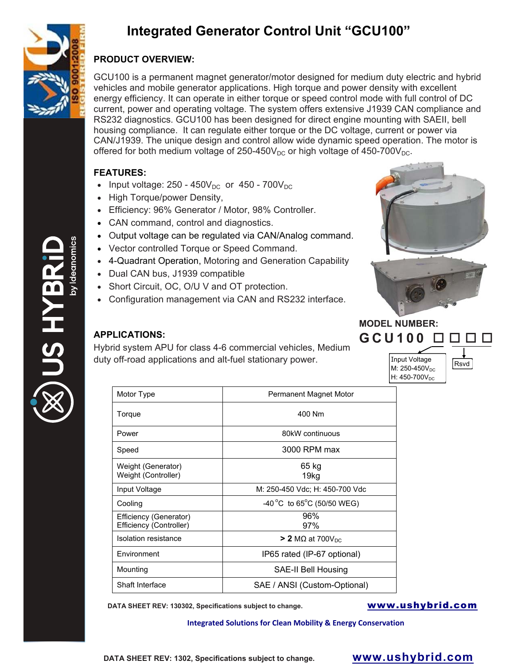

## **Integrated Generator Control Unit "GCU100"**

## **PRODUCT OVERVIEW:**

GCU100 is a permanent magnet generator/motor designed for medium duty electric and hybrid vehicles and mobile generator applications. High torque and power density with excellent energy efficiency. It can operate in either torque or speed control mode with full control of DC current, power and operating voltage. The system offers extensive J1939 CAN compliance and RS232 diagnostics. GCU100 has been designed for direct engine mounting with SAEII, bell housing compliance. It can regulate either torque or the DC voltage, current or power via CAN/J1939. The unique design and control allow wide dynamic speed operation. The motor is offered for both medium voltage of 250-450 $V_{DC}$  or high voltage of 450-700 $V_{DC}$ .

### **FEATURES:**

- Input voltage:  $250 450V_{DC}$  or  $450 700V_{DC}$
- High Torque/power Density,
- Efficiency: 96% Generator / Motor, 98% Controller.
- CAN command, control and diagnostics.
- Output voltage can be regulated via CAN/Analog command.
- Vector controlled Torque or Speed Command.
- 4-Quadrant Operation, Motoring and Generation Capability
- Dual CAN bus, J1939 compatible
- Short Circuit, OC, O/U V and OT protection.
- Configuration management via CAN and RS232 interface.



# **MODEL NUMBER: GCU100**

### **APPLICATIONS:**

Hybrid system APU for class 4-6 commercial vehicles, Medium duty off-road applications and alt-fuel stationary power.

| Input Voltage<br>M: 250-450V <sub>DC</sub><br>H: 450-700V <sub>DC</sub> |
|-------------------------------------------------------------------------|
|                                                                         |

Rsvd

| Motor Type                                        | Permanent Magnet Motor         |
|---------------------------------------------------|--------------------------------|
| Torque                                            | 400 Nm                         |
| Power                                             | 80kW continuous                |
| Speed                                             | 3000 RPM max                   |
| Weight (Generator)<br>Weight (Controller)         | 65 kg<br>19kg                  |
| Input Voltage                                     | M: 250-450 Vdc; H: 450-700 Vdc |
| Cooling                                           | -40 °C to 65°C (50/50 WEG)     |
| Efficiency (Generator)<br>Efficiency (Controller) | 96%<br>97%                     |
| Isolation resistance                              | $>$ 2 MΩ at 700V <sub>DC</sub> |
| Environment                                       | IP65 rated (IP-67 optional)    |
| Mounting                                          | SAE-II Bell Housing            |
| Shaft Interface                                   | SAE / ANSI (Custom-Optional)   |

**DATA SHEET REV: 130302, Specifications subject to change. WWW.ushybrid.com** 

**Integrated Solutions for Clean Mobility & Energy Conservation**

**DATA SHEET REV: 1302, Specifications subject to change. www.ushybrid.com**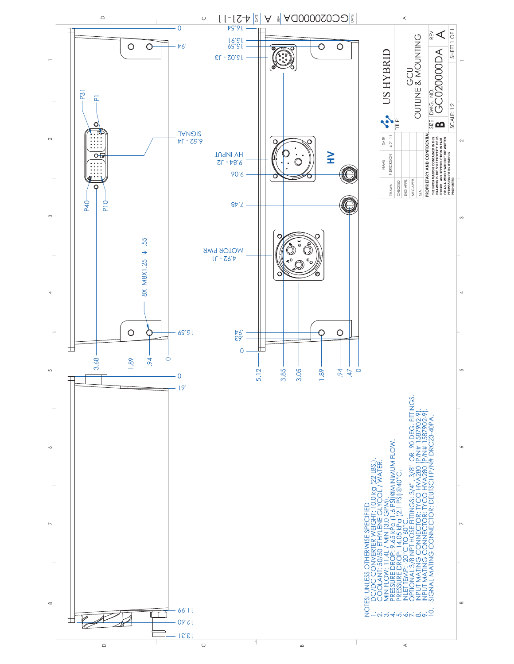